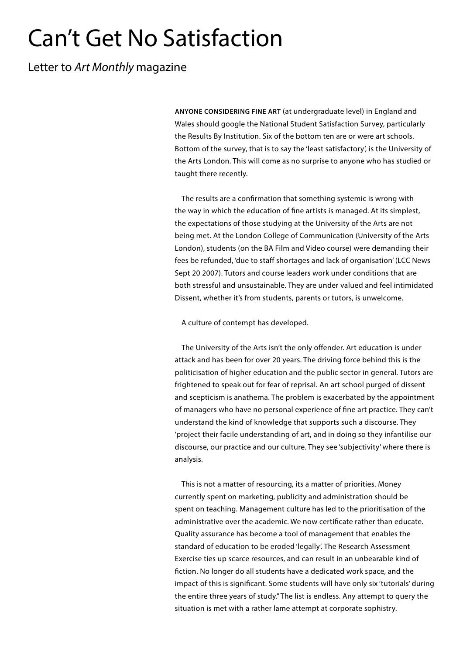## Can't Get No Satisfaction

Letter to *Art Monthly* magazine

**ANYONE CONSIDERING FINE ART** (at undergraduate level) in England and Wales should google the National Student Satisfaction Survey, particularly the Results By Institution. Six of the bottom ten are or were art schools. Bottom of the survey, that is to say the 'least satisfactory', is the University of the Arts London. This will come as no surprise to anyone who has studied or taught there recently.

The results are a confirmation that something systemic is wrong with the way in which the education of fine artists is managed. At its simplest, the expectations of those studying at the University of the Arts are not being met. At the London College of Communication (University of the Arts London), students (on the BA Film and Video course) were demanding their fees be refunded, 'due to staff shortages and lack of organisation' (LCC News Sept 20 2007). Tutors and course leaders work under conditions that are both stressful and unsustainable. They are under valued and feel intimidated Dissent, whether it's from students, parents or tutors, is unwelcome.

A culture of contempt has developed.

The University of the Arts isn't the only offender. Art education is under attack and has been for over 20 years. The driving force behind this is the politicisation of higher education and the public sector in general. Tutors are frightened to speak out for fear of reprisal. An art school purged of dissent and scepticism is anathema. The problem is exacerbated by the appointment of managers who have no personal experience of fine art practice. They can't understand the kind of knowledge that supports such a discourse. They 'project their facile understanding of art, and in doing so they infantilise our discourse, our practice and our culture. They see 'subjectivity' where there is analysis.

This is not a matter of resourcing, its a matter of priorities. Money currently spent on marketing, publicity and administration should be spent on teaching. Management culture has led to the prioritisation of the administrative over the academic. We now certificate rather than educate. Quality assurance has become a tool of management that enables the standard of education to be eroded 'legally'. The Research Assessment Exercise ties up scarce resources, and can result in an unbearable kind of fiction. No longer do all students have a dedicated work space, and the impact of this is significant. Some students will have only six 'tutorials' during the entire three years of study." The list is endless. Any attempt to query the situation is met with a rather lame attempt at corporate sophistry.